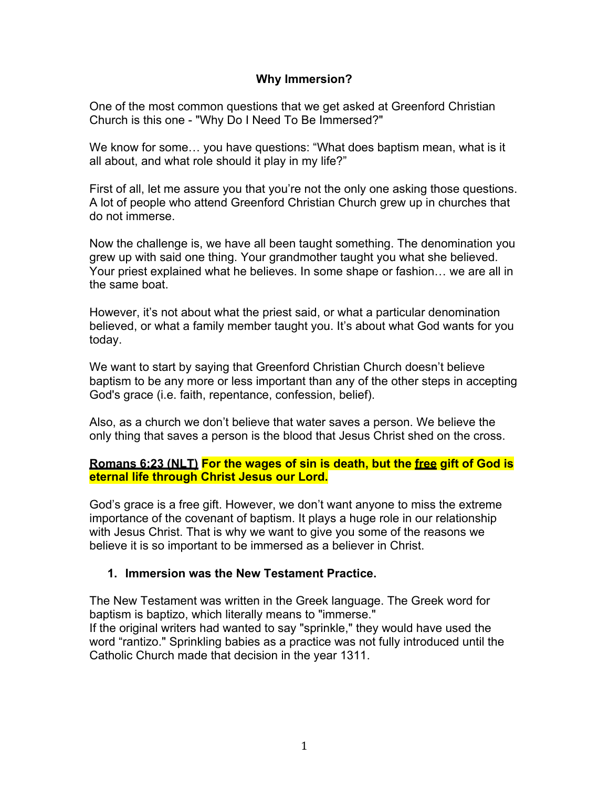### **Why Immersion?**

One of the most common questions that we get asked at Greenford Christian Church is this one - "Why Do I Need To Be Immersed?"

We know for some… you have questions: "What does baptism mean, what is it all about, and what role should it play in my life?"

First of all, let me assure you that you're not the only one asking those questions. A lot of people who attend Greenford Christian Church grew up in churches that do not immerse.

Now the challenge is, we have all been taught something. The denomination you grew up with said one thing. Your grandmother taught you what she believed. Your priest explained what he believes. In some shape or fashion… we are all in the same boat.

However, it's not about what the priest said, or what a particular denomination believed, or what a family member taught you. It's about what God wants for you today.

We want to start by saying that Greenford Christian Church doesn't believe baptism to be any more or less important than any of the other steps in accepting God's grace (i.e. faith, repentance, confession, belief).

Also, as a church we don't believe that water saves a person. We believe the only thing that saves a person is the blood that Jesus Christ shed on the cross.

### **Romans 6:23 (NLT) For the wages of sin is death, but the free gift of God is eternal life through Christ Jesus our Lord.**

God's grace is a free gift. However, we don't want anyone to miss the extreme importance of the covenant of baptism. It plays a huge role in our relationship with Jesus Christ. That is why we want to give you some of the reasons we believe it is so important to be immersed as a believer in Christ.

# **1. Immersion was the New Testament Practice.**

The New Testament was written in the Greek language. The Greek word for baptism is baptizo, which literally means to "immerse." If the original writers had wanted to say "sprinkle," they would have used the word "rantizo." Sprinkling babies as a practice was not fully introduced until the Catholic Church made that decision in the year 1311.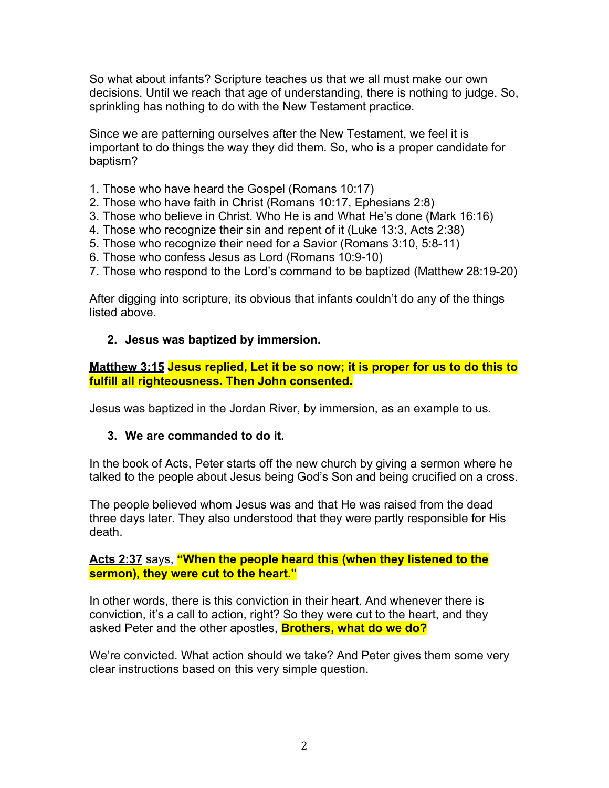So what about infants? Scripture teaches us that we all must make our own decisions. Until we reach that age of understanding, there is nothing to judge. So, sprinkling has nothing to do with the New Testament practice.

Since we are patterning ourselves after the New Testament, we feel it is important to do things the way they did them. So, who is a proper candidate for baptism?

- 1. Those who have heard the Gospel (Romans 10:17)
- 2. Those who have faith in Christ (Romans 10:17, Ephesians 2:8)
- 3. Those who believe in Christ. Who He is and What He's done (Mark 16:16)
- 4. Those who recognize their sin and repent of it (Luke 13:3, Acts 2:38)
- 5. Those who recognize their need for a Savior (Romans 3:10, 5:8-11)
- 6. Those who confess Jesus as Lord (Romans 10:9-10)
- 7. Those who respond to the Lord's command to be baptized (Matthew 28:19-20)

After digging into scripture, its obvious that infants couldn't do any of the things listed above.

#### **2. Jesus was baptized by immersion.**

#### **Matthew 3:15 Jesus replied, Let it be so now; it is proper for us to do this to fulfill all righteousness. Then John consented.**

Jesus was baptized in the Jordan River, by immersion, as an example to us.

#### **3. We are commanded to do it.**

In the book of Acts, Peter starts off the new church by giving a sermon where he talked to the people about Jesus being God's Son and being crucified on a cross.

The people believed whom Jesus was and that He was raised from the dead three days later. They also understood that they were partly responsible for His death.

### **Acts 2:37** says, **"When the people heard this (when they listened to the sermon), they were cut to the heart."**

In other words, there is this conviction in their heart. And whenever there is conviction, it's a call to action, right? So they were cut to the heart, and they asked Peter and the other apostles, **Brothers, what do we do?**

We're convicted. What action should we take? And Peter gives them some very clear instructions based on this very simple question.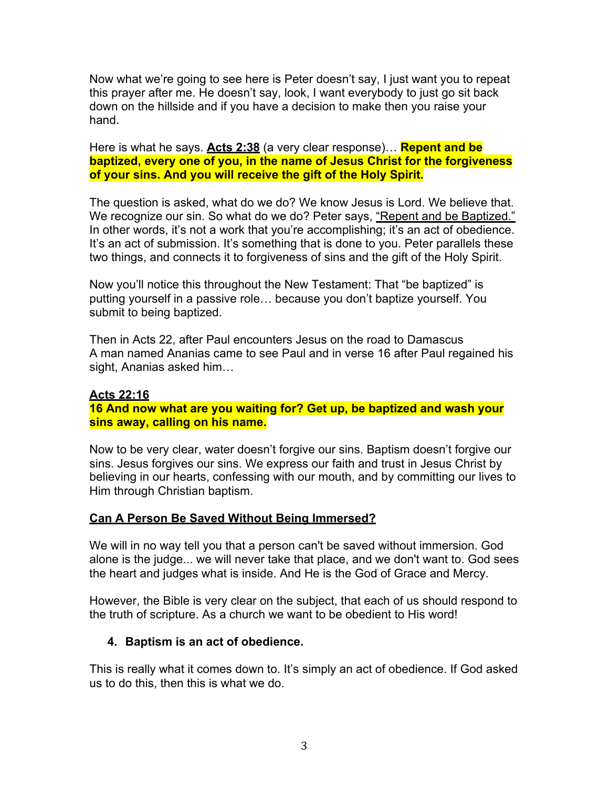Now what we're going to see here is Peter doesn't say, I just want you to repeat this prayer after me. He doesn't say, look, I want everybody to just go sit back down on the hillside and if you have a decision to make then you raise your hand.

Here is what he says. **Acts 2:38** (a very clear response)… **Repent and be baptized, every one of you, in the name of Jesus Christ for the forgiveness of your sins. And you will receive the gift of the Holy Spirit.**

The question is asked, what do we do? We know Jesus is Lord. We believe that. We recognize our sin. So what do we do? Peter says, "Repent and be Baptized." In other words, it's not a work that you're accomplishing; it's an act of obedience. It's an act of submission. It's something that is done to you. Peter parallels these two things, and connects it to forgiveness of sins and the gift of the Holy Spirit.

Now you'll notice this throughout the New Testament: That "be baptized" is putting yourself in a passive role… because you don't baptize yourself. You submit to being baptized.

Then in Acts 22, after Paul encounters Jesus on the road to Damascus A man named Ananias came to see Paul and in verse 16 after Paul regained his sight, Ananias asked him…

# **Acts 22:16 16 And now what are you waiting for? Get up, be baptized and wash your sins away, calling on his name.**

Now to be very clear, water doesn't forgive our sins. Baptism doesn't forgive our sins. Jesus forgives our sins. We express our faith and trust in Jesus Christ by believing in our hearts, confessing with our mouth, and by committing our lives to Him through Christian baptism.

### **Can A Person Be Saved Without Being Immersed?**

We will in no way tell you that a person can't be saved without immersion. God alone is the judge... we will never take that place, and we don't want to. God sees the heart and judges what is inside. And He is the God of Grace and Mercy.

However, the Bible is very clear on the subject, that each of us should respond to the truth of scripture. As a church we want to be obedient to His word!

# **4. Baptism is an act of obedience.**

This is really what it comes down to. It's simply an act of obedience. If God asked us to do this, then this is what we do.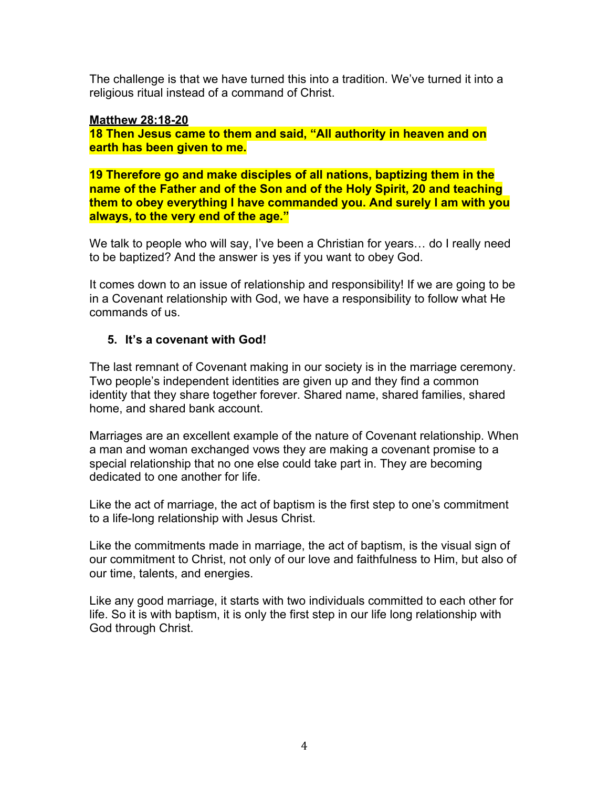The challenge is that we have turned this into a tradition. We've turned it into a religious ritual instead of a command of Christ.

### **Matthew 28:18-20**

**18 Then Jesus came to them and said, "All authority in heaven and on earth has been given to me.** 

**19 Therefore go and make disciples of all nations, baptizing them in the name of the Father and of the Son and of the Holy Spirit, 20 and teaching them to obey everything I have commanded you. And surely I am with you always, to the very end of the age."**

We talk to people who will say, I've been a Christian for years... do I really need to be baptized? And the answer is yes if you want to obey God.

It comes down to an issue of relationship and responsibility! If we are going to be in a Covenant relationship with God, we have a responsibility to follow what He commands of us.

# **5. It's a covenant with God!**

The last remnant of Covenant making in our society is in the marriage ceremony. Two people's independent identities are given up and they find a common identity that they share together forever. Shared name, shared families, shared home, and shared bank account.

Marriages are an excellent example of the nature of Covenant relationship. When a man and woman exchanged vows they are making a covenant promise to a special relationship that no one else could take part in. They are becoming dedicated to one another for life.

Like the act of marriage, the act of baptism is the first step to one's commitment to a life-long relationship with Jesus Christ.

Like the commitments made in marriage, the act of baptism, is the visual sign of our commitment to Christ, not only of our love and faithfulness to Him, but also of our time, talents, and energies.

Like any good marriage, it starts with two individuals committed to each other for life. So it is with baptism, it is only the first step in our life long relationship with God through Christ.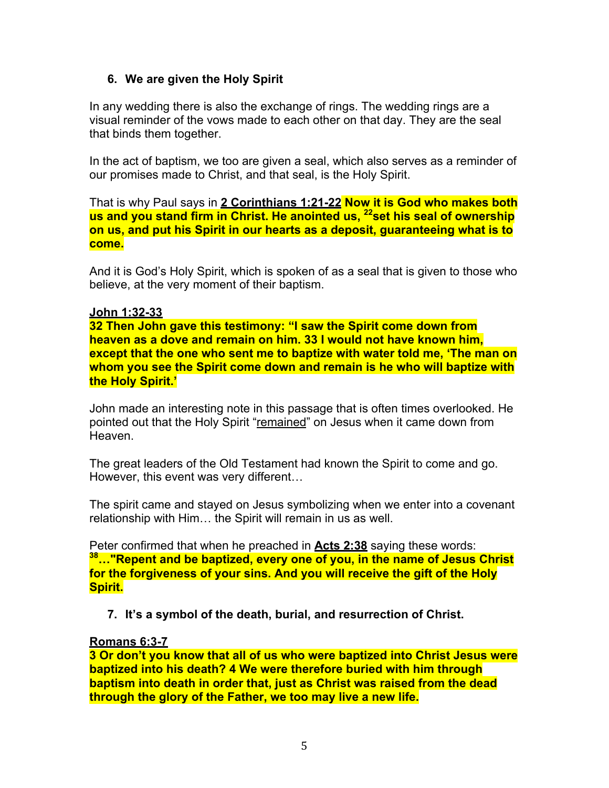### **6. We are given the Holy Spirit**

In any wedding there is also the exchange of rings. The wedding rings are a visual reminder of the vows made to each other on that day. They are the seal that binds them together.

In the act of baptism, we too are given a seal, which also serves as a reminder of our promises made to Christ, and that seal, is the Holy Spirit.

That is why Paul says in **2 Corinthians 1:21-22 Now it is God who makes both us and you stand firm in Christ. He anointed us, 22set his seal of ownership on us, and put his Spirit in our hearts as a deposit, guaranteeing what is to come.**

And it is God's Holy Spirit, which is spoken of as a seal that is given to those who believe, at the very moment of their baptism.

#### **John 1:32-33**

**32 Then John gave this testimony: "I saw the Spirit come down from heaven as a dove and remain on him. 33 I would not have known him, except that the one who sent me to baptize with water told me, 'The man on whom you see the Spirit come down and remain is he who will baptize with the Holy Spirit.'**

John made an interesting note in this passage that is often times overlooked. He pointed out that the Holy Spirit "remained" on Jesus when it came down from Heaven.

The great leaders of the Old Testament had known the Spirit to come and go. However, this event was very different…

The spirit came and stayed on Jesus symbolizing when we enter into a covenant relationship with Him… the Spirit will remain in us as well.

Peter confirmed that when he preached in **Acts 2:38** saying these words: **38…"Repent and be baptized, every one of you, in the name of Jesus Christ for the forgiveness of your sins. And you will receive the gift of the Holy Spirit.**

**7. It's a symbol of the death, burial, and resurrection of Christ.** 

### **Romans 6:3-7**

**3 Or don't you know that all of us who were baptized into Christ Jesus were baptized into his death? 4 We were therefore buried with him through baptism into death in order that, just as Christ was raised from the dead through the glory of the Father, we too may live a new life.**